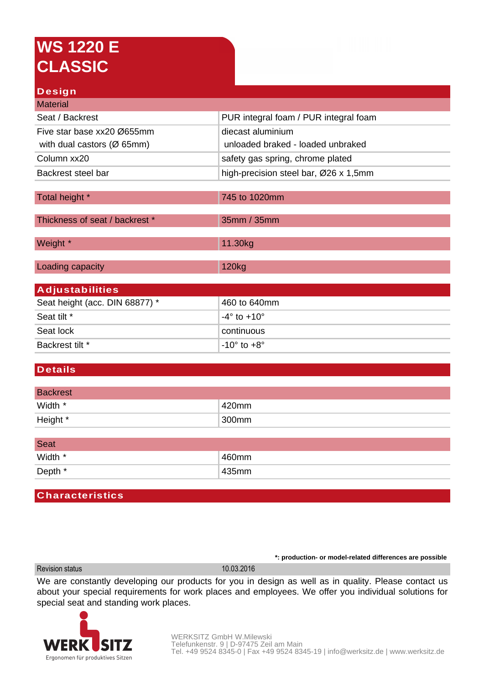# **WS 1220 E CLASSIC**

### **Design**

| <b>Material</b>                         |                                       |
|-----------------------------------------|---------------------------------------|
| Seat / Backrest                         | PUR integral foam / PUR integral foam |
| Five star base xx20 Ø655mm              | diecast aluminium                     |
| with dual castors ( $\varnothing$ 65mm) | unloaded braked - loaded unbraked     |
| Column xx20                             | safety gas spring, chrome plated      |
| Backrest steel bar                      | high-precision steel bar, Ø26 x 1,5mm |
|                                         |                                       |
| Total height *                          | 745 to 1020mm                         |
| Thickness of seat / backrest *          | 35mm / 35mm                           |
| Weight *                                | 11.30kg                               |
| Loading capacity                        | 120kg                                 |
| <b>Adjustabilities</b>                  |                                       |
| Seat height (acc. DIN 68877) *          | 460 to 640mm                          |
| Seat tilt *                             | $-4^\circ$ to $+10^\circ$             |
| Seat lock                               | continuous                            |
| Backrest tilt *                         | $-10^\circ$ to $+8^\circ$             |

### **Details**

| <b>Backrest</b> |       |
|-----------------|-------|
| Width *         | 420mm |
| Height *        | 300mm |

| <b>Seat</b> |       |
|-------------|-------|
| Width *     | 460mm |
| Depth *     | 435mm |

#### **Characteristics**

Revision status 10.03.2016

**\*: production- or model-related differences are possible**

We are constantly developing our products for you in design as well as in quality. Please contact us about your special requirements for work places and employees. We offer you individual solutions for special seat and standing work places.